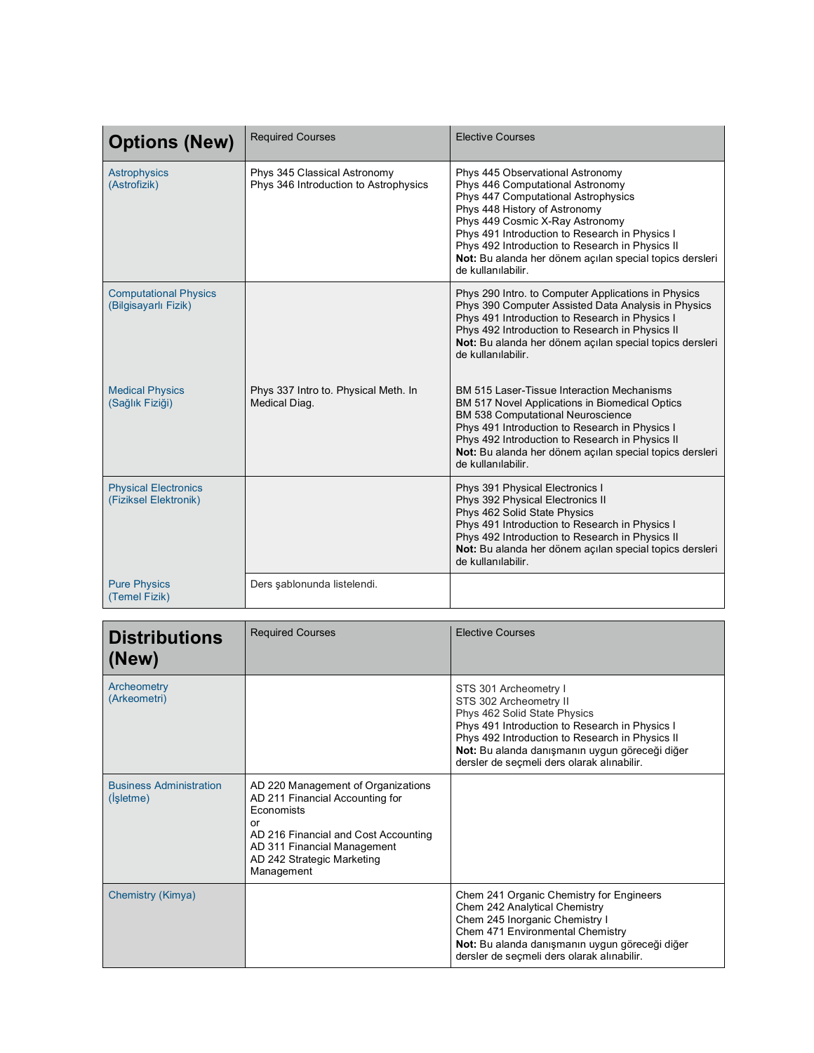| <b>Options (New)</b>                                 | <b>Required Courses</b>                                               | <b>Elective Courses</b>                                                                                                                                                                                                                                                                                                                                               |
|------------------------------------------------------|-----------------------------------------------------------------------|-----------------------------------------------------------------------------------------------------------------------------------------------------------------------------------------------------------------------------------------------------------------------------------------------------------------------------------------------------------------------|
| <b>Astrophysics</b><br>(Astrofizik)                  | Phys 345 Classical Astronomy<br>Phys 346 Introduction to Astrophysics | Phys 445 Observational Astronomy<br>Phys 446 Computational Astronomy<br>Phys 447 Computational Astrophysics<br>Phys 448 History of Astronomy<br>Phys 449 Cosmic X-Ray Astronomy<br>Phys 491 Introduction to Research in Physics I<br>Phys 492 Introduction to Research in Physics II<br>Not: Bu alanda her dönem acılan special topics dersleri<br>de kullanılabilir. |
| <b>Computational Physics</b><br>(Bilgisayarlı Fizik) |                                                                       | Phys 290 Intro. to Computer Applications in Physics<br>Phys 390 Computer Assisted Data Analysis in Physics<br>Phys 491 Introduction to Research in Physics I<br>Phys 492 Introduction to Research in Physics II<br>Not: Bu alanda her dönem açılan special topics dersleri<br>de kullanılabilir.                                                                      |
| <b>Medical Physics</b><br>(Sağlık Fiziği)            | Phys 337 Intro to. Physical Meth. In<br>Medical Diag.                 | BM 515 Laser-Tissue Interaction Mechanisms<br>BM 517 Novel Applications in Biomedical Optics<br>BM 538 Computational Neuroscience<br>Phys 491 Introduction to Research in Physics I<br>Phys 492 Introduction to Research in Physics II<br>Not: Bu alanda her dönem açılan special topics dersleri<br>de kullanılabilir.                                               |
| <b>Physical Electronics</b><br>(Fiziksel Elektronik) |                                                                       | Phys 391 Physical Electronics I<br>Phys 392 Physical Electronics II<br>Phys 462 Solid State Physics<br>Phys 491 Introduction to Research in Physics I<br>Phys 492 Introduction to Research in Physics II<br>Not: Bu alanda her dönem açılan special topics dersleri<br>de kullanılabilir.                                                                             |
| <b>Pure Physics</b><br>(Temel Fizik)                 | Ders şablonunda listelendi.                                           |                                                                                                                                                                                                                                                                                                                                                                       |

| <b>Distributions</b><br>(New)               | <b>Required Courses</b>                                                                                                                                                                                      | <b>Elective Courses</b>                                                                                                                                                                                                                                                              |
|---------------------------------------------|--------------------------------------------------------------------------------------------------------------------------------------------------------------------------------------------------------------|--------------------------------------------------------------------------------------------------------------------------------------------------------------------------------------------------------------------------------------------------------------------------------------|
| Archeometry<br>(Arkeometri)                 |                                                                                                                                                                                                              | STS 301 Archeometry I<br>STS 302 Archeometry II<br>Phys 462 Solid State Physics<br>Phys 491 Introduction to Research in Physics I<br>Phys 492 Introduction to Research in Physics II<br>Not: Bu alanda danışmanın uygun göreceği diğer<br>dersler de seçmeli ders olarak alınabilir. |
| <b>Business Administration</b><br>(Işletme) | AD 220 Management of Organizations<br>AD 211 Financial Accounting for<br>Economists<br>or<br>AD 216 Financial and Cost Accounting<br>AD 311 Financial Management<br>AD 242 Strategic Marketing<br>Management |                                                                                                                                                                                                                                                                                      |
| Chemistry (Kimya)                           |                                                                                                                                                                                                              | Chem 241 Organic Chemistry for Engineers<br>Chem 242 Analytical Chemistry<br>Chem 245 Inorganic Chemistry I<br>Chem 471 Environmental Chemistry<br>Not: Bu alanda danışmanın uygun göreceği diğer<br>dersler de secmeli ders olarak alınabilir.                                      |